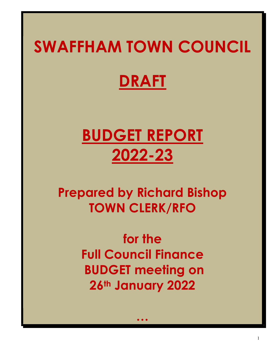# SWAFFHAM TOWN COUNCIL

# DRAFT

# BUDGET REPORT 2022-23

## Prepared by Richard Bishop TOWN CLERK/RFO

for the Full Council Finance BUDGET meeting on 26th January 2022

…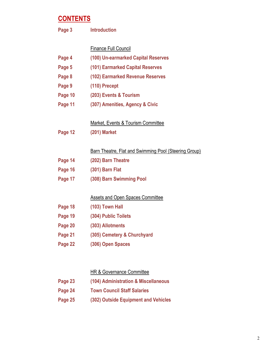### **CONTENTS**

| Page 3  | <b>Introduction</b>                                          |
|---------|--------------------------------------------------------------|
|         | <b>Finance Full Council</b>                                  |
| Page 4  | (100) Un-earmarked Capital Reserves                          |
| Page 5  | (101) Earmarked Capital Reserves                             |
| Page 8  | (102) Earmarked Revenue Reserves                             |
| Page 9  | (110) Precept                                                |
| Page 10 | (203) Events & Tourism                                       |
| Page 11 | (307) Amenities, Agency & Civic                              |
|         |                                                              |
|         | Market, Events & Tourism Committee                           |
| Page 12 | <b>(201) Market</b>                                          |
|         | <b>Barn Theatre, Flat and Swimming Pool (Steering Group)</b> |
| Page 14 | (202) Barn Theatre                                           |
| Page 16 | (301) Barn Flat                                              |
| Page 17 | (308) Barn Swimming Pool                                     |
|         | <b>Assets and Open Spaces Committee</b>                      |
| Page 18 | (103) Town Hall                                              |
| Page 19 | (304) Public Toilets                                         |
| Page 20 | (303) Allotments                                             |
| Page 21 | (305) Cemetery & Churchyard                                  |
| Page 22 | (306) Open Spaces                                            |
|         |                                                              |
|         | <b>HR &amp; Governance Committee</b>                         |
| Page 23 | (104) Administration & Miscellaneous                         |
|         |                                                              |

- Page 24 Town Council Staff Salaries
- Page 25 (302) Outside Equipment and Vehicles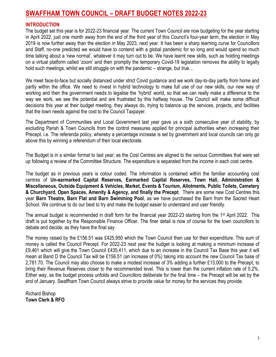#### SWAFFHAM TOWN COUNCIL – DRAFT BUDGET NOTES 2022-23

#### INTRODUCTION

The budget set this year is for 2022-23 financial year. The current Town Council are now budgeting for the year starting in April 2022, just one month away from the end of the third year of this Council's four-year term, the election in May 2019 is now further away than the election in May 2023, next year. It has been a sharp learning curve for Councillors and Staff, no-one predicted we would have to contend with a global pandemic for so long and would spend so much time talking about a 'new normal', whatever it may turn out to be. We have learnt new skills, such as holding meetings on a virtual platform called 'zoom' and then promptly the temporary Covid-19 legislation removes the ability to legally hold such meetings, whilst we still struggle on with the pandemic – strange, but true…

We meet face-to-face but socially distanced under strict Covid guidance and we work day-to-day partly from home and partly within the office. We need to invest in hybrid technology to make full use of our new skills, our new way of working and then the government needs to legalise the 'hybrid' world, so that we can really make a difference to the way we work, we see the potential and are frustrated by this halfway house. The Council will make some difficult decisions this year at their budget meeting, they always do, trying to balance up the services, projects, and facilities that the town needs against the cost to the Council Taxpayer.

The Department of Communities and Local Government last year gave us a sixth consecutive year of stability, by excluding Parish & Town Councils from the control measures applied for principal authorities when increasing their Precept. i.e. The referenda policy, whereby a percentage increase is set by government and local councils can only go above this by winning a referendum of their local electorate.

The Budget is in a similar format to last year; as the Cost Centres are aligned to the various Committees that were set up following a review of the Committee Structure. The expenditure is separated from the income in each cost centre.

The budget as in previous years is colour coded. The information is contained within the familiar accounting cost centres of Un-earmarked Capital Reserves, Earmarked Capital Reserves, Town Hall, Administration & Miscellaneous, Outside Equipment & Vehicles, Market, Events & Tourism, Allotments, Public Toilets, Cemetery & Churchyard, Open Spaces, Amenity & Agency, and finally the Precept. There are some new Cost Centres this year Barn Theatre, Barn Flat and Barn Swimming Pool, as we have purchased the Barn from the Sacred Heart School. We continue to do our best to try and make the budget easier to understand and user friendly.

The annual budget is recommended in draft form for the financial year 2022-23 starting from the 1<sup>st</sup> April 2022. This draft is put together by the Responsible Finance Officer. The finer detail is now of course for the town councillors to debate and decide, as they have the final say.

The money raised by the £156.51 was £425,950 which the Town Council then use for their expenditure. This sum of money is called the Council Precept. For 2022-23 next year the budget is looking at making a minimum increase of £9,461 which will give the Town Council £435,411, which due to an increase in the Council Tax Base this year it will mean at Band D the Council Tax will be £156.51 (an increase of 0%) taking into account the new Council Tax base of 2,781.70. The Council may also choose to make a modest increase of 3% adding a further £13,000 to the Precept, to bring their Revenue Reserves closer to the recommended level. This is lower than the current inflation rate of 5.2%. Either way, as the budget process unfolds and Councillors deliberate for the final time – the Precept will be set by the end of January. Swaffham Town Council always strive to provide value for money for the services they provide.

Richard Bishop Town Clerk & RFO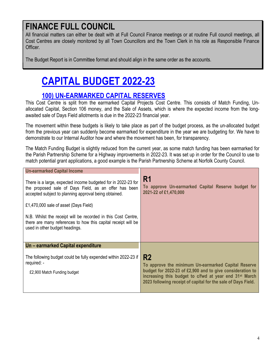## FINANCE FULL COUNCIL

All financial matters can either be dealt with at Full Council Finance meetings or at routine Full council meetings, all Cost Centres are closely monitored by all Town Councillors and the Town Clerk in his role as Responsible Finance Officer.

The Budget Report is in Committee format and should align in the same order as the accounts.

## CAPITAL BUDGET 2022-23

#### 100) UN-EARMARKED CAPITAL RESERVES

This Cost Centre is split from the earmarked Capital Projects Cost Centre. This consists of Match Funding, Unallocated Capital, Section 106 money, and the Sale of Assets, which is where the expected income from the longawaited sale of Days Field allotments is due in the 2022-23 financial year.

The movement within these budgets is likely to take place as part of the budget process, as the un-allocated budget from the previous year can suddenly become earmarked for expenditure in the year we are budgeting for. We have to demonstrate to our Internal Auditor how and where the movement has been, for transparency.

The Match Funding Budget is slightly reduced from the current year, as some match funding has been earmarked for the Parish Partnership Scheme for a Highway improvements in 2022-23. It was set up in order for the Council to use to match potential grant applications, a good example is the Parish Partnership Scheme at Norfolk County Council.

| <b>Un-earmarked Capital Income</b>                                                                                                                                              |                                                                                                                                                                                                                                                                           |
|---------------------------------------------------------------------------------------------------------------------------------------------------------------------------------|---------------------------------------------------------------------------------------------------------------------------------------------------------------------------------------------------------------------------------------------------------------------------|
| There is a large, expected income budgeted for in 2022-23 for<br>the proposed sale of Days Field, as an offer has been<br>accepted subject to planning approval being obtained. | R <sub>1</sub><br>To approve Un-earmarked Capital Reserve budget for<br>2021-22 of £1,470,000                                                                                                                                                                             |
| £1,470,000 sale of asset (Days Field)                                                                                                                                           |                                                                                                                                                                                                                                                                           |
| N.B. Whilst the receipt will be recorded in this Cost Centre,<br>there are many references to how this capital receipt will be<br>used in other budget headings.                |                                                                                                                                                                                                                                                                           |
| Un – earmarked Capital expenditure                                                                                                                                              |                                                                                                                                                                                                                                                                           |
| The following budget could be fully expended within 2022-23 if<br>required: -<br>£2,900 Match Funding budget                                                                    | R <sub>2</sub><br>To approve the minimum Un-earmarked Capital Reserve<br>budget for 2022-23 of £2,900 and to give consideration to<br>increasing this budget to c/fwd at year end 31 <sup>st</sup> March<br>2023 following receipt of capital for the sale of Days Field. |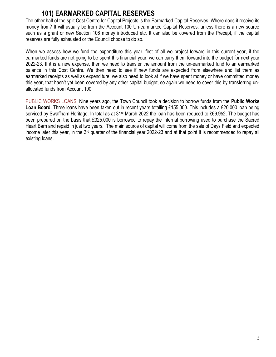### 101) EARMARKED CAPITAL RESERVES

The other half of the split Cost Centre for Capital Projects is the Earmarked Capital Reserves. Where does it receive its money from? It will usually be from the Account 100 Un-earmarked Capital Reserves, unless there is a new source such as a grant or new Section 106 money introduced etc. It can also be covered from the Precept, if the capital reserves are fully exhausted or the Council choose to do so.

When we assess how we fund the expenditure this year, first of all we project forward in this current year, if the earmarked funds are not going to be spent this financial year, we can carry them forward into the budget for next year 2022-23. If it is a new expense, then we need to transfer the amount from the un-earmarked fund to an earmarked balance in this Cost Centre. We then need to see if new funds are expected from elsewhere and list them as earmarked receipts as well as expenditure, we also need to look at if we have spent money or have committed money this year, that hasn't yet been covered by any other capital budget, so again we need to cover this by transferring unallocated funds from Account 100.

PUBLIC WORKS LOANS: Nine years ago, the Town Council took a decision to borrow funds from the **Public Works** Loan Board. Three loans have been taken out in recent years totalling £155,000. This includes a £20,000 loan being serviced by Swaffham Heritage. In total as at 31<sup>st</sup> March 2022 the loan has been reduced to £69,952. The budget has been prepared on the basis that £325,000 is borrowed to repay the internal borrowing used to purchase the Sacred Heart Barn and repaid in just two years. The main source of capital will come from the sale of Days Field and expected income later this year, in the 3rd quarter of the financial year 2022-23 and at that point it is recommended to repay all existing loans.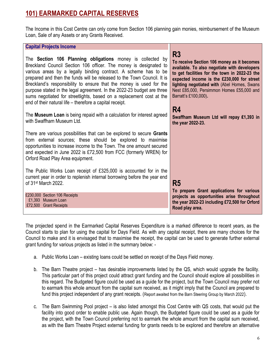### 101) EARMARKED CAPITAL RESERVES

The Income in this Cost Centre can only come from Section 106 planning gain monies, reimbursement of the Museum Loan, Sale of any Assets or any Grants Received.

#### Capital Projects Income

The Section 106 Planning obligations money is collected by Breckland Council Section 106 officer. The money is designated to various areas by a legally binding contract. A scheme has to be prepared and then the funds will be released to the Town Council. It is Breckland's responsibility to ensure that the money is used for the purpose stated in the legal agreement. In the 2022-23 budget are three sums negotiated for streetlights, based on a replacement cost at the end of their natural life – therefore a capital receipt.

The Museum Loan is being repaid with a calculation for interest agreed with Swaffham Museum Ltd.

There are various possibilities that can be explored to secure Grants from external sources; these should be explored to maximise opportunities to increase income to the Town. The one amount secured and expected in June 2022 is £72,500 from FCC (formerly WREN) for Orford Road Play Area equipment.

The Public Works Loan receipt of £325,000 is accounted for in the current year in order to replenish internal borrowing before the year end of 31st March 2022.

£230,000 Section 106 Receipts £1,393 Museum Loan £72,500 Grant Receipts

R3

To receive Section 106 money as it becomes available. To also negotiate with developers to get facilities for the town in 2022-23 the expected income is the £230,000 for street lighting negotiated with (Abel Homes, Swans Nest £85,000, Persimmon Homes £55,000 and Barratt's £100,000).

#### R4

Swaffham Museum Ltd will repay ₤1,393 in the year 2022-23.

R5

To prepare Grant applications for various projects as opportunities arise throughout the year 2022-23 including £72,500 for Orford Road play area.

The projected spend in the Earmarked Capital Reserves Expenditure is a marked difference to recent years, as the Council starts to plan for using the capital for Days Field. As with any capital receipt, there are many choices for the Council to make and it is envisaged that to maximise the receipt, the capital can be used to generate further external grant funding for various projects as listed in the summary below: -

- a. Public Works Loan existing loans could be settled on receipt of the Days Field money.
- b. The Barn Theatre project has desirable improvements listed by the QS, which would upgrade the facility. This particular part of this project could attract grant funding and the Council should explore all possibilities in this regard. The Budgeted figure could be used as a guide for the project, but the Town Council may prefer not to earmark this whole amount from the capital sum received, as it might imply that the Council are prepared to fund this project independent of any grant receipts. (Report awaited from the Barn Steering Group by March 2022).
- c. The Barn Swimming Pool project is also listed amongst this Cost Centre with QS costs, that would put the facility into good order to enable public use. Again though, the Budgeted figure could be used as a guide for the project, with the Town Council preferring not to earmark the whole amount from the capital sum received, as with the Barn Theatre Project external funding for grants needs to be explored and therefore an alternative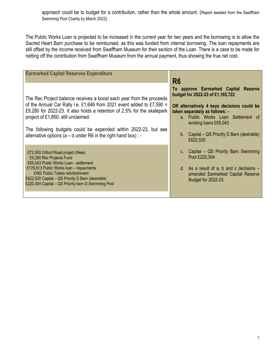approach could be to budget for a contribution, rather than the whole amount. (Report awaited from the Swaffham Swimming Pool Charity by March 2022).

The Public Works Loan is projected to be increased in the current year for two years and the borrowing is to allow the Sacred Heart Barn purchase to be reimbursed, as this was funded from internal borrowing. The loan repayments are still offset by the income received from Swaffham Museum for their section of the Loan. There is a case to be made for netting off the contribution from Swaffham Museum from the annual payment, thus showing the true net cost.

| <b>Earmarked Capital Reserves Expenditure</b>                                                                                                                                                                                                                                                                                                                                                           |                                                                                                                                                                                                                                                                                                                 |
|---------------------------------------------------------------------------------------------------------------------------------------------------------------------------------------------------------------------------------------------------------------------------------------------------------------------------------------------------------------------------------------------------------|-----------------------------------------------------------------------------------------------------------------------------------------------------------------------------------------------------------------------------------------------------------------------------------------------------------------|
| The Rec Project balance receives a boost each year from the proceeds<br>of the Annual Car Rally i.e. £1,646 from 2021 event added to £7,590 =<br>£9,280 for 2022-23. It also holds a retention of 2.5% for the skatepark<br>project of £1,850, still unclaimed.<br>The following budgets could be expended within 2022-23, but see<br>alternative options ( $a - d$ under R6 in the right hand box) : - | R <sub>6</sub><br>To approve Earmarked Capital<br><b>Reserve</b><br>budget for 2022-23 of £1,165,722<br>OR alternatively 4 keys decisions could be<br>taken separately as follows: -<br>a. Public Works Loan Settlement of<br>existing loans £65,043<br>b. Capital – QS Priority D Barn (desirable)<br>£622,520 |
| £72,500 Orford Road project (New)<br>£9,280 Rec Projects Fund<br>£65,043 Public Works Loan - settlement<br>£176,613 Public Works loan - repayments<br>£462 Public Toilets refurbishment<br>£622,520 Capital - QS Priority D Barn (desirable)<br>£220,304 Capital - QS Priority barn D Swimming Pool                                                                                                     | c. Capital – QS Priority Barn Swimming<br>Pool £220,304<br>d. As a result of a, b and c decisions $-$<br>amended Earmarked Capital Reserve<br>Budget for 2022-23.                                                                                                                                               |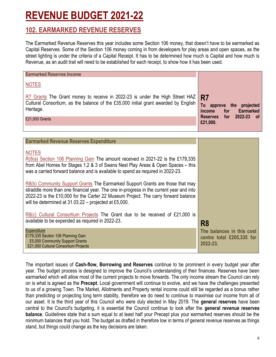## REVENUE BUDGET 2021-22

#### 102. EARMARKED REVENUE RESERVES

The Earmarked Revenue Reserves this year includes some Section 106 money, that doesn't have to be earmarked as Capital Reserves. Some of the Section 106 money coming in from developers for play areas and open spaces, as the street lighting is under the criteria of a Capital Receipt. It has to be determined how much is Capital and how much is Revenue, as an audit trail will need to be established for each receipt, to show how it has been used.

| <b>Earmarked Reserves Income</b><br><b>NOTES</b>                                                                                                                                 |                                                                                       |
|----------------------------------------------------------------------------------------------------------------------------------------------------------------------------------|---------------------------------------------------------------------------------------|
| R7 Grants The Grant money to receive in 2022-23 is under the High Street HAZ<br>Cultural Consortium, as the balance of the £35,000 initial grant awarded by English<br>Heritage. | R <sub>7</sub><br>To<br>approve the<br>projected<br><b>Earmarked</b><br>for<br>income |
| £21,000 Grants                                                                                                                                                                   | 2022-23<br><b>Reserves</b><br>for<br>0f<br>£21,000.                                   |
| Former added December Department From an different                                                                                                                               |                                                                                       |

| <b>Earmarked Revenue Reserves Expenditure</b>                                                                                                                                                                                                                                                                            |                                                                    |
|--------------------------------------------------------------------------------------------------------------------------------------------------------------------------------------------------------------------------------------------------------------------------------------------------------------------------|--------------------------------------------------------------------|
| <b>NOTES</b><br>$R(8(a)$ Section 106 Planning Gain The amount received in 2021-22 is the £179,335<br>from Abel Homes for Stages 1,2 & 3 of Swans Nest Play Areas & Open Spaces - this<br>was a carried forward balance and is available to spend as required in 2022-23.                                                 |                                                                    |
| R8(b) Community Support Grants The Earmarked Support Grants are those that may<br>straddle more than one financial year. The one in-progress in the current year and into<br>2022-23 is the £10,000 for the Carter 22 Museum Project. The carry forward balance<br>will be determined at 31.03.22 – projected at £5,000. |                                                                    |
| $R8(c)$ Cultural Consortium Projects The Grant due to be received of £21,000 is<br>available to be expended as required in 2022-23.                                                                                                                                                                                      | R <sub>8</sub>                                                     |
| Expenditure<br>£179,335 Section 106 Planning Gain<br>£5,000 Community Support Grants<br>£21,000 Cultural Consortium Projects                                                                                                                                                                                             | The balances in this cost<br>centre total £205,335 for<br>2022-23. |

The important issues of Cash-flow, Borrowing and Reserves continue to be prominent in every budget year after year. The budget process is designed to improve the Council's understanding of their finances. Reserves have been earmarked which will allow most of the current projects to move forwards. The only income stream the Council can rely on is what is agreed as the Precept. Local government will continue to evolve, and we have the challenges presented to us of a growing Town. The Market, Allotments and Property rental income could still be regarded as a bonus rather than predicting or projecting long term stability, therefore we do need to continue to maximise our income from all of our asset. It is the third year of this Council who were duly elected in May 2019. The general reserves have been central to the Council's budgeting, it is essential the Council continue to look after the general revenue reserves balance. Guidelines state that a sum equal to at least half your Precept plus your earmarked reserves should be the minimum balances that you hold. The budget as drafted in therefore low in terms of general revenue reserves as things stand, but things could change as the key decisions are taken.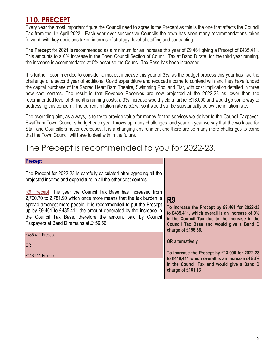### 110. PRECEPT

Every year the most important figure the Council need to agree is the Precept as this is the one that affects the Council Tax from the 1st April 2022. Each year over successive Councils the town has seen many recommendations taken forward, with key decisions taken in terms of strategy, level of staffing and contracting.

The Precept for 2021 is recommended as a minimum for an increase this year of £9,461 giving a Precept of £435,411. This amounts to a 0% increase in the Town Council Section of Council Tax at Band D rate, for the third year running, the increase is accommodated at 0% because the Council Tax Base has been increased.

It is further recommended to consider a modest increase this year of 3%, as the budget process this year has had the challenge of a second year of additional Covid expenditure and reduced income to contend with and they have funded the capital purchase of the Sacred Heart Barn Theatre, Swimming Pool and Flat, with cost implication detailed in three new cost centres. The result is that Revenue Reserves are now projected at the 2022-23 as lower than the recommended level of 6-months running costs, a 3% increase would yield a further £13,000 and would go some way to addressing this concern. The current inflation rate is 5.2%, so it would still be substantially below the inflation rate.

The overriding aim, as always, is to try to provide value for money for the services we deliver to the Council Taxpayer. Swaffham Town Council's budget each year throws up many challenges, and year on year we say that the workload for Staff and Councillors never decreases. It is a changing environment and there are so many more challenges to come that the Town Council will have to deal with in the future.

## The Precept is recommended to you for 2022-23.

#### Precept

The Precept for 2022-23 is carefully calculated after agreeing all the projected income and expenditure in all the other cost centres.

R9 Precept This year the Council Tax Base has increased from 2,720.70 to 2,781.90 which once more means that the tax burden is spread amongst more people. It is recommended to put the Precept up by £9,461 to £435,411 the amount generated by the increase in the Council Tax Base, therefore the amount paid by Council Taxpayers at Band D remains at £156.56

£435,411 Precept

OR

£448,411 Precept

#### R9

To increase the Precept by £9,461 for 2022-23 to £435,411, which overall is an increase of 0% in the Council Tax due to the increase in the Council Tax Base and would give a Band D charge of £156.56.

#### OR alternatively

To increase the Precept by £13,000 for 2022-23 to £448,411 which overall is an increase of £3% in the Council Tax and would give a Band D charge of £161.13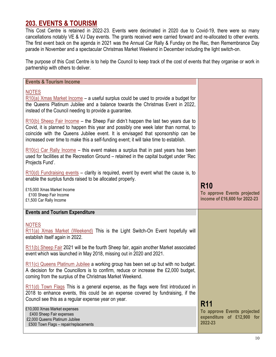#### 203. EVENTS & TOURISM

This Cost Centre is retained in 2022-23. Events were decimated in 2020 due to Covid-19, there were so many cancellations notably VE & VJ Day events. The grants received were carried forward and re-allocated to other events. The first event back on the agenda in 2021 was the Annual Car Rally & Funday on the Rec, then Remembrance Day parade in November and a spectacular Christmas Market Weekend in December including the light switch-on.

The purpose of this Cost Centre is to help the Council to keep track of the cost of events that they organise or work in partnership with others to deliver.

| <b>Events &amp; Tourism Income</b>                                                                                                                                                                                                                                                                                                                       |                                                                            |
|----------------------------------------------------------------------------------------------------------------------------------------------------------------------------------------------------------------------------------------------------------------------------------------------------------------------------------------------------------|----------------------------------------------------------------------------|
| <b>NOTES</b><br>$R10(a)$ Xmas Market Income – a useful surplus could be used to provide a budget for<br>the Queens Platinum Jubilee and a balance towards the Christmas Event in 2022,<br>instead of the Council needing to provide a guarantee.                                                                                                         |                                                                            |
| $R10(b)$ Sheep Fair Income – the Sheep Fair didn't happen the last two years due to<br>Covid, it is planned to happen this year and possibly one week later than normal, to<br>coincide with the Queens Jubilee event. It is envisaged that sponsorship can be<br>increased over time to make this a self-funding event; it will take time to establish. |                                                                            |
| $R10(c)$ Car Rally Income – this event makes a surplus that in past years has been<br>used for facilities at the Recreation Ground – retained in the capital budget under 'Rec<br>Projects Fund'.                                                                                                                                                        |                                                                            |
| $R10(d)$ Fundraising events – clarity is required, event by event what the cause is, to<br>enable the surplus funds raised to be allocated properly.                                                                                                                                                                                                     |                                                                            |
| £15,000 Xmas Market Income<br>£100 Sheep Fair Income<br>£1,500 Car Rally Income                                                                                                                                                                                                                                                                          | <b>R10</b><br>To approve Events projected<br>income of £16,600 for 2022-23 |
| <b>Events and Tourism Expenditure</b>                                                                                                                                                                                                                                                                                                                    |                                                                            |
|                                                                                                                                                                                                                                                                                                                                                          |                                                                            |
| <b>NOTES</b><br>R11(a) Xmas Market (Weekend) This is the Light Switch-On Event hopefully will<br>establish itself again in 2022.                                                                                                                                                                                                                         |                                                                            |
| R11(b) Sheep Fair 2021 will be the fourth Sheep fair, again another Market associated<br>event which was launched in May 2018, missing out in 2020 and 2021.                                                                                                                                                                                             |                                                                            |
| R11(c) Queens Platinum Jubilee a working group has been set up but with no budget.<br>A decision for the Councillors is to confirm, reduce or increase the £2,000 budget,<br>coming from the surplus of the Christmas Market Weekend.                                                                                                                    |                                                                            |
| $R11(d)$ Town Flags This is a general expense, as the flags were first introduced in<br>2018 to enhance events, this could be an expense covered by fundraising, if the<br>Council see this as a regular expense year on year.                                                                                                                           | <b>R11</b>                                                                 |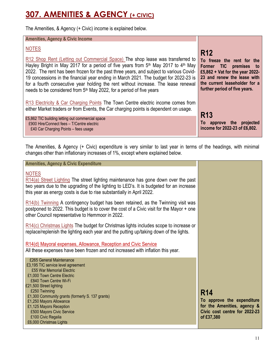## 307. AMENITIES & AGENCY (+ CIVIC)

The Amenities, & Agency (+ Civic) income is explained below.

#### Amenities, Agency & Civic Income

#### NOTES

R12 Shop Rent (Letting out Commercial Space) The shop lease was transferred to Hayley Bright in May 2017 for a period of five years from  $5<sup>th</sup>$  May 2017 to 4<sup>th</sup> May 2022. The rent has been frozen for the past three years, and subject to various Covid-19 concessions in the financial year ending in March 2021. The budget for 2022-23 is for a fourth consecutive year holding the rent without increase. The lease renewal needs to be considered from 5<sup>th</sup> May 2022, for a period of five years

R13 Electricity & Car Charging Points The Town Centre electric income comes from either Market traders or from Events, the Car charging points is dependent on usage.

£5,862 TIC building letting out commercial space £900 Hire/Connect fees – T/Centre electric £40 Car Charging Points – fees usage

## R12

To freeze the rent for the Former TIC premises to £5,862 + Vat for the year 2022- 23 and renew the lease with the current leaseholder for a further period of five years.

#### R13

To approve the projected income for 2022-23 of £6,802.

The Amenities, & Agency (+ Civic) expenditure is very similar to last year in terms of the headings, with minimal changes other than inflationary increases of 1%, except where explained below.

#### Amenities, Agency & Civic Expenditure

#### NOTES

R14(a) Street Lighting The street lighting maintenance has gone down over the past two years due to the upgrading of the lighting to LED's. It is budgeted for an increase this year as energy costs is due to rise substantially in April 2022.

R14(b) Twinning A contingency budget has been retained, as the Twinning visit was postponed to 2022. This budget is to cover the cost of a Civic visit for the Mayor + one other Council representative to Hemmoor in 2022.

R14(c) Christmas Lights The budget for Christmas lights includes scope to increase or replace/replenish the lighting each year and the putting up/taking down of the lights.

R14(d) Mayoral expenses, Allowance, Reception and Civic Service

All these expenses have been frozen and not increased with inflation this year.

| £265 General Maintenance                         |
|--------------------------------------------------|
| £3,195 TIC service level agreement               |
| £55 War Memorial Electric                        |
| £1,000 Town Centre Electric                      |
| £840 Town Centre Wi-Fi                           |
| £21,500 Street lighting                          |
| £250 Twinning                                    |
| £1,300 Community grants (formerly S. 137 grants) |
| £1,250 Mayors Allowance                          |
| £1,125 Mayors Reception                          |
| £500 Mayors Civic Service                        |
| £100 Civic Regalia                               |
| £6,000 Christmas Lights                          |

## R14

To approve the expenditure for the Amenities, agency & Civic cost centre for 2022-23 of £37,380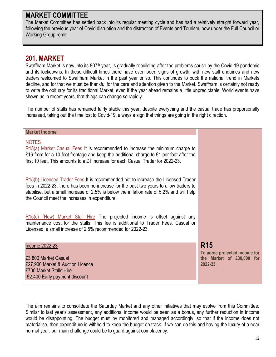#### MARKET COMMITTEE

The Market Committee has settled back into its regular meeting cycle and has had a relatively straight forward year, following the previous year of Covid disruption and the distraction of Events and Tourism, now under the Full Council or Working Group remit.

#### 201. MARKET

Swaffham Market is now into its 807<sup>th</sup> year, is gradually rebuilding after the problems cause by the Covid-19 pandemic and its lockdowns. In these difficult times there have even been signs of growth, with new stall enquiries and new traders welcomed to Swaffham Market in the past year or so. This continues to buck the national trend in Markets decline, and for that we must be thankful for the care and attention given to the Market. Swaffham is certainly not ready to write the obituary for its traditional Market, even if the year ahead remains a little unpredictable. World events have shown us in recent years, that things can change so rapidly.

The number of stalls has remained fairly stable this year, despite everything and the casual trade has proportionally increased, taking out the time lost to Covid-19, always a sign that things are going in the right direction.

| <b>Market Income</b>                                                                                                                                                                                                                                                                                                       |                                                                                      |
|----------------------------------------------------------------------------------------------------------------------------------------------------------------------------------------------------------------------------------------------------------------------------------------------------------------------------|--------------------------------------------------------------------------------------|
| <b>NOTES</b><br>$R15(a)$ Market Casual Fees It is recommended to increase the minimum charge to<br>£16 from for a 10-foot frontage and keep the additional charge to £1 per foot after the<br>first 10 feet. This amounts to a £1 increase for each Casual Trader for 2022-23.                                             |                                                                                      |
| R15(b) Licensed Trader Fees It is recommended not to increase the Licensed Trader<br>fees in 2022-23, there has been no increase for the past two years to allow traders to<br>stabilise, but a small increase of 2.5% is below the inflation rate of 5.2% and will help<br>the Council meet the increases in expenditure. |                                                                                      |
| $R15(c)$ (New) Market Stall Hire The projected income is offset against any<br>maintenance cost for the stalls. This fee is additional to Trader Fees, Casual or<br>Licensed, a small increase of 2.5% recommended for 2022-23.                                                                                            |                                                                                      |
| Income 2022-23<br>£3,800 Market Casual<br>£27,900 Market & Auction Licence<br>£700 Market Stalls Hire<br>-£2,400 Early payment discount                                                                                                                                                                                    | <b>R15</b><br>To agree projected income for<br>the Market of £30,000 for<br>2022-23. |

The aim remains to consolidate the Saturday Market and any other initiatives that may evolve from this Committee. Similar to last year's assessment, any additional income would be seen as a bonus, any further reduction in income would be disappointing. The budget must by monitored and managed accordingly, so that if the income does not materialise, then expenditure is withheld to keep the budget on track. If we can do this and having the luxury of a near normal year, our main challenge could be to guard against complacency.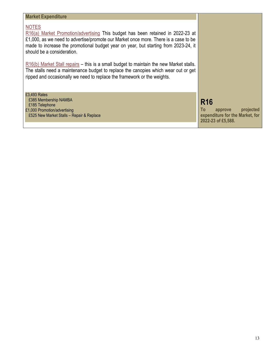| <b>Market Expenditure</b>                                                                                                                                                                                                                                                                                   |                                                                                                   |
|-------------------------------------------------------------------------------------------------------------------------------------------------------------------------------------------------------------------------------------------------------------------------------------------------------------|---------------------------------------------------------------------------------------------------|
| <b>NOTES</b><br>R16(a) Market Promotion/advertising This budget has been retained in 2022-23 at<br>£1,000, as we need to advertise/promote our Market once more. There is a case to be<br>made to increase the promotional budget year on year, but starting from 2023-24, it<br>should be a consideration. |                                                                                                   |
| $R16(b)$ Market Stall repairs – this is a small budget to maintain the new Market stalls.<br>The stalls need a maintenance budget to replace the canopies which wear out or get<br>ripped and occasionally we need to replace the framework or the weights.                                                 |                                                                                                   |
| £3,493 Rates<br>£385 Membership NAMBA<br>£185 Telephone<br>£1,000 Promotion/advertising<br>£525 New Market Stalls - Repair & Replace                                                                                                                                                                        | <b>R16</b><br>projected<br>To<br>approve<br>expenditure for the Market, for<br>2022-23 of £5,588. |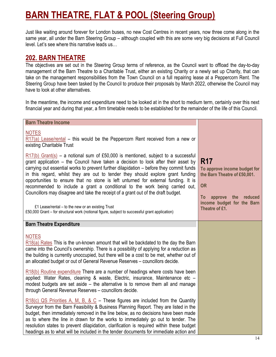## BARN THEATRE, FLAT & POOL (Steering Group)

Just like waiting around forever for London buses, no new Cost Centres in recent years, now three come along in the same year, all under the Barn Steering Group – although coupled with this are some very big decisions at Full Council level. Let's see where this narrative leads us…

#### 202. BARN THEATRE

The objectives are set out in the Steering Group terms of reference, as the Council want to offload the day-to-day management of the Barn Theatre to a Charitable Trust, either an existing Charity or a newly set up Charity, that can take on the management responsibilities from the Town Council on a full repairing lease at a Peppercorn Rent. The Steering Group have been tasked by the Council to produce their proposals by March 2022, otherwise the Council may have to look at other alternatives.

In the meantime, the income and expenditure need to be looked at in the short to medium term, certainly over this next financial year and during that year, a firm timetable needs to be established for the remainder of the life of this Council.

| <b>Barn Theatre Income</b>                                                                                                                                                                                                                                                                                                                                                                                                                                                                                                                 |                                                                                     |
|--------------------------------------------------------------------------------------------------------------------------------------------------------------------------------------------------------------------------------------------------------------------------------------------------------------------------------------------------------------------------------------------------------------------------------------------------------------------------------------------------------------------------------------------|-------------------------------------------------------------------------------------|
| <b>NOTES</b><br>$R17(a)$ Lease/rental – this would be the Peppercorn Rent received from a new or<br>existing Charitable Trust<br>$R17(b)$ Grant(s) – a notional sum of £50,000 is mentioned, subject to a successful                                                                                                                                                                                                                                                                                                                       |                                                                                     |
| grant application – the Council have taken a decision to look after their asset by<br>carrying out essential works to prevent further dilapidation – before they commit funds<br>in this regard, whilst they are out to tender they should explore grant funding<br>opportunities to ensure that no stone is left unturned for external funding. It is<br>recommended to include a grant a conditional to the work being carried out,<br>Councillors may disagree and take the receipt of a grant out of the draft budget.                 | <b>R17</b><br>To approve income budget for<br>the Barn Theatre of £50,001.<br>OR    |
| £1 Lease/rental - to the new or an existing Trust<br>£50,000 Grant - for structural work (notional figure, subject to successful grant application)                                                                                                                                                                                                                                                                                                                                                                                        | reduced<br>approve the<br><b>To</b><br>income budget for the Barn<br>Theatre of £1. |
| <b>Barn Theatre Expenditure</b>                                                                                                                                                                                                                                                                                                                                                                                                                                                                                                            |                                                                                     |
| <b>NOTES</b><br>$R18(a)$ Rates This is the un-known amount that will be backdated to the day the Barn<br>came into the Council's ownership. There is a possibility of applying for a reduction as<br>the building is currently unoccupied, but there will be a cost to be met, whether out of<br>an allocated budget or out of General Revenue Reserves - councillors decide.                                                                                                                                                              |                                                                                     |
| $R18(b)$ Routine expenditure There are a number of headings where costs have been<br>applied: Water Rates, cleaning & waste, Electric, insurance, Maintenance etc -<br>modest budgets are set aside – the alternative is to remove them all and manage<br>through General Revenue Reserves - councillors decide.                                                                                                                                                                                                                           |                                                                                     |
| $R18(c)$ QS Priorities A, M, B, & C – These figures are included from the Quantity<br>Surveyor from the Barn Feasibility & Business Planning Report. They are listed in the<br>budget, then immediately removed in the line below, as no decisions have been made<br>as to where the line in drawn for the works to immediately go out to tender. The<br>resolution states to prevent dilapidation, clarification is required within these budget<br>headings as to what will be included in the tender documents for immediate action and |                                                                                     |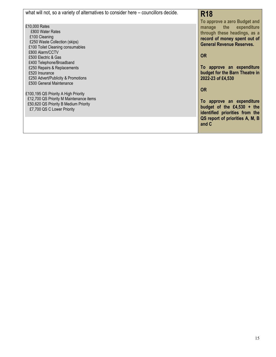| what will not, so a variety of alternatives to consider here - councillors decide. | <b>R18</b><br>To approve a zero Budget and                     |
|------------------------------------------------------------------------------------|----------------------------------------------------------------|
| £10,000 Rates<br>£800 Water Rates                                                  | manage the expenditure                                         |
| £100 Cleaning                                                                      | through these headings, as a<br>record of money spent out of   |
| £250 Waste Collection (skips)                                                      | <b>General Revenue Reserves.</b>                               |
| £100 Toilet Cleaning consumables<br>£800 Alarm/CCTV                                |                                                                |
| £500 Electric & Gas                                                                | <b>OR</b>                                                      |
| £400 Telephone/Broadband<br>£250 Repairs & Replacements                            | To approve an expenditure                                      |
| £520 Insurance                                                                     | budget for the Barn Theatre in                                 |
| £250 Advert/Publicity & Promotions<br>£500 General Maintenance                     | 2022-23 of £4,530                                              |
|                                                                                    | <b>OR</b>                                                      |
| £100,195 QS Priority A High Priority<br>£12,700 QS Priority M Maintenance items    |                                                                |
| £50,620 QS Priority B Medium Priority                                              | To approve an expenditure                                      |
| £7,700 QS C Lower Priority                                                         | budget of the $£4,530 + the$<br>identified priorities from the |
|                                                                                    | QS report of priorities A, M, B                                |
|                                                                                    | and C                                                          |
|                                                                                    |                                                                |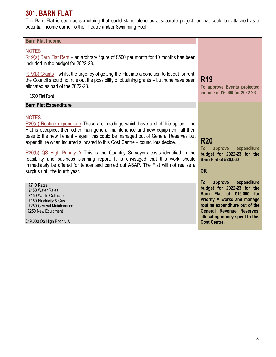### 301. BARN FLAT

The Barn Flat is seen as something that could stand alone as a separate project, or that could be attached as a potential income earner to the Theatre and/or Swimming Pool.

| <b>Barn Flat Income</b>                                                                                                                                                                                                                                                                                                                                                                                                                                                                                                                                                                                                                                          |                                                                                                                                                                                                                                                  |
|------------------------------------------------------------------------------------------------------------------------------------------------------------------------------------------------------------------------------------------------------------------------------------------------------------------------------------------------------------------------------------------------------------------------------------------------------------------------------------------------------------------------------------------------------------------------------------------------------------------------------------------------------------------|--------------------------------------------------------------------------------------------------------------------------------------------------------------------------------------------------------------------------------------------------|
| <b>NOTES</b><br>$R19(a)$ Barn Flat Rent – an arbitrary figure of £500 per month for 10 months has been<br>included in the budget for 2022-23.                                                                                                                                                                                                                                                                                                                                                                                                                                                                                                                    |                                                                                                                                                                                                                                                  |
| $R19(b)$ Grants – whilst the urgency of getting the Flat into a condition to let out for rent,<br>the Council should not rule out the possibility of obtaining grants – but none have been<br>allocated as part of the 2022-23.<br>£500 Flat Rent                                                                                                                                                                                                                                                                                                                                                                                                                | <b>R19</b><br>To approve Events projected<br>income of £5,000 for 2022-23                                                                                                                                                                        |
| <b>Barn Flat Expenditure</b>                                                                                                                                                                                                                                                                                                                                                                                                                                                                                                                                                                                                                                     |                                                                                                                                                                                                                                                  |
| <b>NOTES</b><br>$R20(a)$ Routine expenditure These are headings which have a shelf life up until the<br>Flat is occupied, then other than general maintenance and new equipment, all then<br>pass to the new Tenant - again this could be managed out of General Reserves but<br>expenditure when incurred allocated to this Cost Centre – councillors decide.<br>$R20(b)$ QS High Priority A This is the Quantity Surveyors costs identified in the<br>feasibility and business planning report. It is envisaged that this work should<br>immediately be offered for tender and carried out ASAP. The Flat will not realise a<br>surplus until the fourth year. | <b>R20</b><br>expenditure<br>To<br>approve<br>budget for 2022-23 for the<br>Barn Flat of £20,660<br>OR                                                                                                                                           |
| £710 Rates<br>£150 Water Rates<br>£150 Waste Collection<br>£150 Electricity & Gas<br>£250 General Maintenance<br>£250 New Equipment<br>£19,000 QS High Priority A                                                                                                                                                                                                                                                                                                                                                                                                                                                                                                | To<br>expenditure<br>approve<br>budget for 2022-23 for the<br>Barn Flat of £19,000<br>for<br>Priority A works and manage<br>routine expenditure out of the<br>General Revenue Reserves,<br>allocating money spent to this<br><b>Cost Centre.</b> |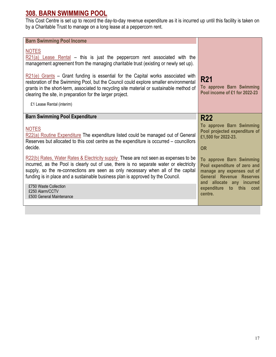#### 308. BARN SWIMMING POOL

This Cost Centre is set up to record the day-to-day revenue expenditure as it is incurred up until this facility is taken on by a Charitable Trust to manage on a long lease at a peppercorn rent.

| <b>Barn Swimming Pool Income</b>                                                                                                                                                                                                                                                                                                                     |                                                                                                                                                        |
|------------------------------------------------------------------------------------------------------------------------------------------------------------------------------------------------------------------------------------------------------------------------------------------------------------------------------------------------------|--------------------------------------------------------------------------------------------------------------------------------------------------------|
| <b>NOTES</b><br>$R21(a)$ Lease Rental – this is just the peppercorn rent associated with the<br>management agreement from the managing charitable trust (existing or newly set up).                                                                                                                                                                  |                                                                                                                                                        |
| $R21(e)$ Grants – Grant funding is essential for the Capital works associated with<br>restoration of the Swimming Pool, but the Council could explore smaller environmental<br>grants in the short-term, associated to recycling site material or sustainable method of<br>clearing the site, in preparation for the larger project.                 | <b>R21</b><br>To approve Barn Swimming<br>Pool income of £1 for 2022-23                                                                                |
| £1 Lease Rental (interim)                                                                                                                                                                                                                                                                                                                            |                                                                                                                                                        |
| <b>Barn Swimming Pool Expenditure</b>                                                                                                                                                                                                                                                                                                                | <b>R22</b>                                                                                                                                             |
| <b>NOTES</b><br>R22(a) Routine Expenditure The expenditure listed could be managed out of General<br>Reserves but allocated to this cost centre as the expenditure is occurred – councillors<br>decide.                                                                                                                                              | To approve Barn Swimming<br>Pool projected expenditure of<br>£1,500 for 2022-23.<br><b>OR</b>                                                          |
| R22(b) Rates, Water Rates & Electricity supply These are not seen as expenses to be<br>incurred, as the Pool is clearly out of use, there is no separate water or electricity<br>supply, so the re-connections are seen as only necessary when all of the capital<br>funding is in place and a sustainable business plan is approved by the Council. | To approve Barn Swimming<br>Pool expenditure of zero and<br>manage any expenses out of<br><b>General Revenue Reserves</b><br>and allocate any incurred |
| £750 Waste Collection<br>£250 Alarm/CCTV<br>£500 General Maintenance                                                                                                                                                                                                                                                                                 | expenditure to<br>this cost<br>centre.                                                                                                                 |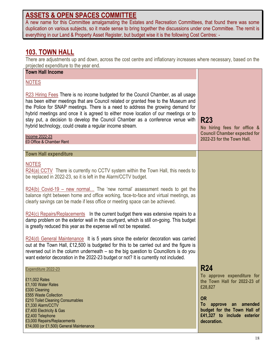#### ASSETS & OPEN SPACES COMMITTEE

A new name for this Committee amalgamating the Estates and Recreation Committees, that found there was some duplication on various subjects, so it made sense to bring together the discussions under one Committee. The remit is everything in our Land & Property Asset Register, but budget wise it is the following Cost Centres: -

#### 103. TOWN HALL

There are adjustments up and down, across the cost centre and inflationary increases where necessary, based on the projected expenditure to the year end.

| projected experiments to the year error.<br><b>Town Hall Income</b>                                                                                                                                                                                                                                                                                                                                                                                                                              |                                                                                                                                                                                                           |
|--------------------------------------------------------------------------------------------------------------------------------------------------------------------------------------------------------------------------------------------------------------------------------------------------------------------------------------------------------------------------------------------------------------------------------------------------------------------------------------------------|-----------------------------------------------------------------------------------------------------------------------------------------------------------------------------------------------------------|
|                                                                                                                                                                                                                                                                                                                                                                                                                                                                                                  |                                                                                                                                                                                                           |
| <b>NOTES</b>                                                                                                                                                                                                                                                                                                                                                                                                                                                                                     |                                                                                                                                                                                                           |
| R23 Hiring Fees There is no income budgeted for the Council Chamber, as all usage<br>has been either meetings that are Council related or granted free to the Museum and<br>the Police for SNAP meetings. There is a need to address the growing demand for<br>hybrid meetings and once it is agreed to either move location of our meetings or to<br>stay put, a decision to develop the Council Chamber as a conference venue with<br>hybrid technology, could create a regular income stream. | <b>R23</b><br>No hiring fees for office &                                                                                                                                                                 |
| Income 2022-23<br>£0 Office & Chamber Rent                                                                                                                                                                                                                                                                                                                                                                                                                                                       | <b>Council Chamber expected for</b><br>2022-23 for the Town Hall.                                                                                                                                         |
| <b>Town Hall expenditure</b>                                                                                                                                                                                                                                                                                                                                                                                                                                                                     |                                                                                                                                                                                                           |
|                                                                                                                                                                                                                                                                                                                                                                                                                                                                                                  |                                                                                                                                                                                                           |
| <b>NOTES</b><br>R24(a) CCTV There is currently no CCTV system within the Town Hall, this needs to<br>be replaced in 2022-23, so it is left in the Alarm/CCTV budget.                                                                                                                                                                                                                                                                                                                             |                                                                                                                                                                                                           |
| $R24(b)$ Covid-19 – new normal The 'new normal' assessment needs to get the<br>balance right between home and office working, face-to-face and virtual meetings, as<br>clearly savings can be made if less office or meeting space can be achieved.                                                                                                                                                                                                                                              |                                                                                                                                                                                                           |
| R24(c) Repairs/Replacements In the current budget there was extensive repairs to a<br>damp problem on the exterior wall in the courtyard, which is still on-going. This budget<br>is greatly reduced this year as the expense will not be repeated.                                                                                                                                                                                                                                              |                                                                                                                                                                                                           |
| $R24(d)$ General Maintenance It is 5 years since the exterior decoration was carried<br>out at the Town Hall, £12,500 is budgeted for this to be carried out and the figure is<br>reversed out in the column underneath – so the big question to Councillors is do you<br>want exterior decoration in the 2022-23 budget or not? It is currently not included.                                                                                                                                   |                                                                                                                                                                                                           |
| Expenditure 2022-23<br>£11,002 Rates<br>£1,100 Water Rates<br>£330 Cleaning<br>£555 Waste Collection<br>£210 Toilet Cleaning Consumables<br>£1,330 Alarm/CCTV<br>£7,400 Electricity & Gas<br>£2,400 Telephone<br>£3,000 Repairs/Replacements<br>£14,000 (or £1,500) General Maintenance                                                                                                                                                                                                          | <b>R24</b><br>To approve expenditure for<br>the Town Hall for 2022-23 of<br>£28,827<br><b>OR</b><br>To approve an<br>amended<br>budget for the Town Hall of<br>£41,327 to include exterior<br>decoration. |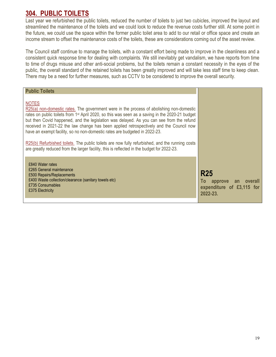#### 304. PUBLIC TOILETS

Last year we refurbished the public toilets, reduced the number of toilets to just two cubicles, improved the layout and streamlined the maintenance of the toilets and we could look to reduce the revenue costs further still. At some point in the future, we could use the space within the former public toilet area to add to our retail or office space and create an income stream to offset the maintenance costs of the toilets, these are considerations coming out of the asset review.

The Council staff continue to manage the toilets, with a constant effort being made to improve in the cleanliness and a consistent quick response time for dealing with complaints. We still inevitably get vandalism, we have reports from time to time of drugs misuse and other anti-social problems, but the toilets remain a constant necessity in the eyes of the public, the overall standard of the retained toilets has been greatly improved and will take less staff time to keep clean. There may be a need for further measures, such as CCTV to be considered to improve the overall security.

| <b>Public Toilets</b>                                                                                                                                                                                                                                                                                                                                                                                                                                                                                                                                                                                                                                                                         |                                                                                 |
|-----------------------------------------------------------------------------------------------------------------------------------------------------------------------------------------------------------------------------------------------------------------------------------------------------------------------------------------------------------------------------------------------------------------------------------------------------------------------------------------------------------------------------------------------------------------------------------------------------------------------------------------------------------------------------------------------|---------------------------------------------------------------------------------|
| <b>NOTES</b><br>R25(a) non-domestic rates. The government were in the process of abolishing non-domestic<br>rates on public toilets from 1 <sup>st</sup> April 2020, so this was seen as a saving in the 2020-21 budget<br>but then Covid happened, and the legislation was delayed. As you can see from the refund<br>received in 2021-22 the law change has been applied retrospectively and the Council now<br>have an exempt facility, so no non-domestic rates are budgeted in 2022-23.<br>R25(b) Refurbished toilets. The public toilets are now fully refurbished, and the running costs<br>are greatly reduced from the larger facility, this is reflected in the budget for 2022-23. |                                                                                 |
| £840 Water rates<br>£265 General maintenance<br>£500 Repairs/Replacements<br>£400 Waste collection/clearance (sanitary towels etc)<br>£735 Consumables<br>£375 Electricity                                                                                                                                                                                                                                                                                                                                                                                                                                                                                                                    | <b>R25</b><br>To<br>approve an overall<br>expenditure of £3,115 for<br>2022-23. |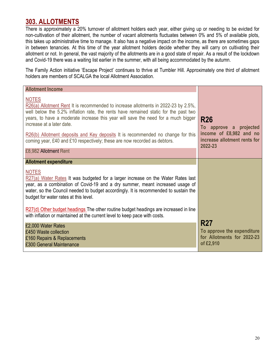#### 303. ALLOTMENTS

There is approximately a 20% turnover of allotment holders each year, either giving up or needing to be evicted for non-cultivation of their allotment, the number of vacant allotments fluctuates between 0% and 5% of available plots, this takes up administrative time to manage. It also has a negative impact on the income, as there are sometimes gaps in between tenancies. At this time of the year allotment holders decide whether they will carry on cultivating their allotment or not. In general, the vast majority of the allotments are in a good state of repair. As a result of the lockdown and Covid-19 there was a waiting list earlier in the summer, with all being accommodated by the autumn.

The Family Action initiative 'Escape Project' continues to thrive at Tumbler Hill. Approximately one third of allotment holders are members of SCALGA the local Allotment Association.

| <b>Allotment Income</b>                                                                                                                                                                                                                                                                                                                                                                                                                                                       |                                                                                                            |
|-------------------------------------------------------------------------------------------------------------------------------------------------------------------------------------------------------------------------------------------------------------------------------------------------------------------------------------------------------------------------------------------------------------------------------------------------------------------------------|------------------------------------------------------------------------------------------------------------|
| <b>NOTES</b><br>$R26(a)$ Allotment Rent It is recommended to increase allotments in 2022-23 by 2.5%,<br>well below the 5.2% inflation rate, the rents have remained static for the past two<br>years, to have a moderate increase this year will save the need for a much bigger<br>increase at a later date.<br>R26(b) Allotment deposits and Key deposits It is recommended no change for this<br>coming year, £40 and £10 respectively; these are now recorded as debtors. | <b>R26</b><br>To approve a projected<br>income of £8,982 and no<br>increase allotment rents for<br>2022-23 |
| £8,982 Allotment Rent                                                                                                                                                                                                                                                                                                                                                                                                                                                         |                                                                                                            |
| <b>Allotment expenditure</b>                                                                                                                                                                                                                                                                                                                                                                                                                                                  |                                                                                                            |
| <b>NOTES</b><br>$R27(a)$ Water Rates It was budgeted for a larger increase on the Water Rates last<br>year, as a combination of Covid-19 and a dry summer, meant increased usage of<br>water, so the Council needed to budget accordingly. It is recommended to sustain the<br>budget for water rates at this level.                                                                                                                                                          |                                                                                                            |
| R27(d) Other budget headings The other routine budget headings are increased in line<br>with inflation or maintained at the current level to keep pace with costs.                                                                                                                                                                                                                                                                                                            |                                                                                                            |
| £2,000 Water Rates<br>£450 Waste collection<br>£160 Repairs & Replacements<br>£300 General Maintenance                                                                                                                                                                                                                                                                                                                                                                        | <b>R27</b><br>To approve the expenditure<br>for Allotments for 2022-23<br>of £2,910                        |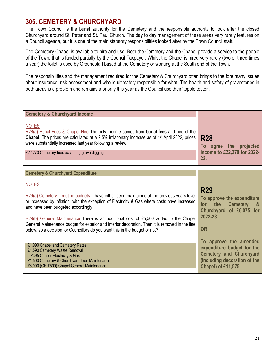#### 305. CEMETERY & CHURCHYARD

The Town Council is the burial authority for the Cemetery and the responsible authority to look after the closed Churchyard around St. Peter and St. Paul Church. The day to day management of these areas very rarely features on a Council agenda, but it is one of the main statutory responsibilities looked after by the Town Council staff.

The Cemetery Chapel is available to hire and use. Both the Cemetery and the Chapel provide a service to the people of the Town, that is funded partially by the Council Taxpayer. Whilst the Chapel is hired very rarely (two or three times a year) the toilet is used by Groundstaff based at the Cemetery or working at the South end of the Town.

The responsibilities and the management required for the Cemetery & Churchyard often brings to the fore many issues about insurance, risk assessment and who is ultimately responsible for what. The health and safety of gravestones in both areas is a problem and remains a priority this year as the Council use their 'topple tester'.

| <b>Cemetery &amp; Churchyard Income</b>                                                                                                                                                                                                                                                                                              |                                                                                                                        |
|--------------------------------------------------------------------------------------------------------------------------------------------------------------------------------------------------------------------------------------------------------------------------------------------------------------------------------------|------------------------------------------------------------------------------------------------------------------------|
| <b>NOTES</b><br>R28(a) Burial Fees & Chapel Hire The only income comes from burial fees and hire of the<br>Chapel. The prices are calculated at a 2.5% inflationary increase as of 1 <sup>st</sup> April 2022, prices<br>were substantially increased last year following a review.<br>£22,270 Cemetery fees excluding grave digging | <b>R28</b><br>To agree the projected<br>income to £22,270 for 2022-<br>23.                                             |
| <b>Cemetery &amp; Churchyard Expenditure</b>                                                                                                                                                                                                                                                                                         |                                                                                                                        |
|                                                                                                                                                                                                                                                                                                                                      |                                                                                                                        |
| <b>NOTES</b>                                                                                                                                                                                                                                                                                                                         |                                                                                                                        |
| $R29(a)$ Cemetery – routine budgets – have either been maintained at the previous years level<br>or increased by inflation, with the exception of Electricity & Gas where costs have increased<br>and have been budgeted accordingly.                                                                                                | <b>R29</b><br>To approve the expenditure<br>the<br><b>Cemetery</b><br><b>8</b><br>for<br>Churchyard of £6,075 for      |
| R29(b) General Maintenance There is an additional cost of £5,500 added to the Chapel<br>General Maintenance budget for exterior and interior decoration. Then it is removed in the line<br>below, so a decision for Councillors do you want this in the budget or not?                                                               | 2022-23.<br><b>OR</b>                                                                                                  |
|                                                                                                                                                                                                                                                                                                                                      |                                                                                                                        |
| £1,990 Chapel and Cemetery Rates<br>£1,590 Cemetery Waste Removal<br>£395 Chapel Electricity & Gas<br>£1,500 Cemetery & Churchyard Tree Maintenance                                                                                                                                                                                  | To approve the amended<br>expenditure budget for the<br><b>Cemetery and Churchyard</b><br>(including decoration of the |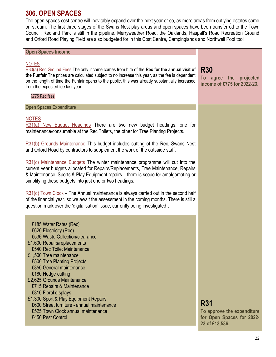#### 306. OPEN SPACES

The open spaces cost centre will inevitably expand over the next year or so, as more areas from outlying estates come on stream. The first three stages of the Swans Nest play areas and open spaces have been transferred to the Town Council; Redland Park is still in the pipeline. Merryweather Road, the Oaklands, Haspall's Road Recreation Ground and Orford Road Playing Field are also budgeted for in this Cost Centre, Campinglands and Northwell Pool too!

| <b>Open Spaces Income</b>                                                                                                                                                                                                                                                                                                                                                                                                                                                                                                                                                                                                                                               |                                                                                         |
|-------------------------------------------------------------------------------------------------------------------------------------------------------------------------------------------------------------------------------------------------------------------------------------------------------------------------------------------------------------------------------------------------------------------------------------------------------------------------------------------------------------------------------------------------------------------------------------------------------------------------------------------------------------------------|-----------------------------------------------------------------------------------------|
| <b>NOTES</b><br>R30(a) Rec Ground Fees The only income comes from hire of the Rec for the annual visit of<br>the Funfair The prices are calculated subject to no increase this year, as the fee is dependent<br>on the length of time the Funfair opens to the public, this was already substantially increased<br>from the expected fee last year.<br>£775 Rec fees                                                                                                                                                                                                                                                                                                    | <b>R30</b><br>To agree<br>the projected<br>income of £775 for 2022-23.                  |
| <b>Open Spaces Expenditure</b>                                                                                                                                                                                                                                                                                                                                                                                                                                                                                                                                                                                                                                          |                                                                                         |
| <b>NOTES</b><br>R31(a) New Budget Headings There are two new budget headings, one for<br>maintenance/consumable at the Rec Toilets, the other for Tree Planting Projects.<br>R31(b) Grounds Maintenance This budget includes cutting of the Rec, Swans Nest<br>and Orford Road by contractors to supplement the work of the outsaide staff.<br>$R31(c)$ Maintenance Budgets The winter maintenance programme will cut into the<br>current year budgets allocated for Repairs/Replacements, Tree Maintenance, Repairs<br>& Maintenance, Sports & Play Equipment repairs - there is scope for amalgamating or<br>simplifying these budgets into just one or two headings. |                                                                                         |
| $R31(d)$ Town Clock – The Annual maintenance is always carried out in the second half<br>of the financial year, so we await the assessment in the coming months. There is still a<br>question mark over the 'digitalisation' issue, currently being investigated                                                                                                                                                                                                                                                                                                                                                                                                        |                                                                                         |
| £185 Water Rates (Rec)<br>£620 Electricity (Rec)<br>£536 Waste Collection/clearance<br>£1,600 Repairs/replacements<br>£540 Rec Toilet Maintenance<br>£1,500 Tree maintenance<br>£500 Tree Planting Projects<br>£850 General maintenance<br>£180 Hedge cutting<br>£2,625 Grounds Maintenance<br>£715 Repairs & Maintenance<br>£810 Floral displays<br>£1,300 Sport & Play Equipment Repairs<br>£600 Street furniture - annual maintenance<br>£525 Town Clock annual maintenance<br>£450 Pest Control                                                                                                                                                                     | <b>R31</b><br>To approve the expenditure<br>for Open Spaces for 2022-<br>23 of £13,536. |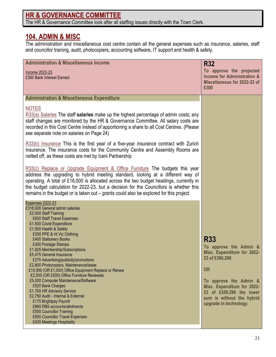## HR & GOVERNANCE COMMITTEE

The HR & Governance Committee look after all staffing issues directly with the Town Clerk.

#### 104. ADMIN & MISC

The administration and miscellaneous cost centre contain all the general expenses such as insurance, salaries, staff and councillor training, audit, photocopiers, accounting software, IT support and health & safety.

| <b>Administration &amp; Miscellaneous Income</b>                                                                                                                                                                                                                                                                                                                                                                                                                                                                                                                                                                                                                                                                                                                                                      | <b>R32</b>                                                                                                                                                                                                                                     |
|-------------------------------------------------------------------------------------------------------------------------------------------------------------------------------------------------------------------------------------------------------------------------------------------------------------------------------------------------------------------------------------------------------------------------------------------------------------------------------------------------------------------------------------------------------------------------------------------------------------------------------------------------------------------------------------------------------------------------------------------------------------------------------------------------------|------------------------------------------------------------------------------------------------------------------------------------------------------------------------------------------------------------------------------------------------|
| Income 2022-23<br>£300 Bank Interest Earned                                                                                                                                                                                                                                                                                                                                                                                                                                                                                                                                                                                                                                                                                                                                                           | To approve the projected<br>income for Administration &<br>Miscellaneous for 2022-23 of<br>£300                                                                                                                                                |
| <b>Administration &amp; Miscellaneous Expenditure</b>                                                                                                                                                                                                                                                                                                                                                                                                                                                                                                                                                                                                                                                                                                                                                 |                                                                                                                                                                                                                                                |
| <b>NOTES</b><br>$R33(a)$ Salaries The staff salaries make up the highest percentage of admin costs; any<br>staff changes are monitored by the HR & Governance Committee. All salary costs are<br>recorded in this Cost Centre instead of apportioning a share to all Cost Centres. (Please<br>see separate note on salaries on Page 24)                                                                                                                                                                                                                                                                                                                                                                                                                                                               |                                                                                                                                                                                                                                                |
| R33(b) Insurance This is the first year of a five-year insurance contract with Zurich<br>Insurance. The insurance costs for the Community Centre and Assembly Rooms are<br>netted off, as these costs are met by Iceni Partnership                                                                                                                                                                                                                                                                                                                                                                                                                                                                                                                                                                    |                                                                                                                                                                                                                                                |
| R33(c) Replace or Upgrade Equipment & Office Furniture The budgets this year<br>address the upgrading to hybrid meeting standard, looking at a different way of<br>operating. A total of £16,000 is allocated across the two budget headings, currently in<br>the budget calculation for 2022-23, but a decision for the Councillors is whether this<br>remains in the budget or is taken out – grants could also be explored for this project.                                                                                                                                                                                                                                                                                                                                                       |                                                                                                                                                                                                                                                |
| <b>Expenses 2022-23</b><br>£318,926 General admin salaries<br>£2,000 Staff Training<br>£800 Staff Travel Expenses<br>£1,500 Covid Expenditure<br>£1,500 Health & Safety<br>£350 PPE & Hi Viz Clothing<br>£400 Stationery Books<br>£300 Postage Stamps<br>£1,925 Membership/Subscriptions<br>£5,475 General Insurance<br>£275 Advertising/publicity/promotions<br>£2,800 Photocopiers, Maintenance/lease<br>£15,000 (OR £1,000) Office Equipment Replace or Renew<br>£2,500 (OR £500) Office Furniture Renewals<br>£5,000 Computer Maintenance/Software<br>£520 Bank Charges<br>£1,700 HR Advisory Service<br>£2,750 Audit - Internal & External<br>£175 Brightpay Payroll<br>£965 RBS accounts/allotments<br>£500 Councillor Training<br>£500 Councillor Travel Expenses<br>£435 Meetings Hospitality | <b>R33</b><br>To approve the Admin &<br>Misc. Expenditure for 2022-<br>23 of £366,296<br><b>OR</b><br>To approve the Admin &<br>Misc. Expenditure for 2022-<br>23 of £350,296 the lower<br>sum is without the hybrid<br>upgrade in technology. |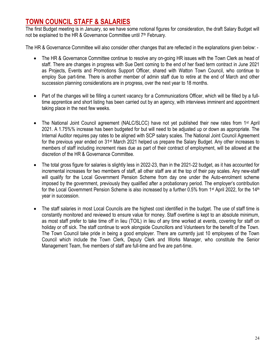#### TOWN COUNCIL STAFF & SALARIES

The first Budget meeting is in January, so we have some notional figures for consideration, the draft Salary Budget will not be explained to the HR & Governance Committee until 7<sup>th</sup> February.

The HR & Governance Committee will also consider other changes that are reflected in the explanations given below: -

- The HR & Governance Committee continue to resolve any on-going HR issues with the Town Clerk as head of staff. There are changes in progress with Sue Dent coming to the end of her fixed term contract in June 2021 as Projects, Events and Promotions Support Officer, shared with Watton Town Council, who continue to employ Sue part-time. There is another member of admin staff due to retire at the end of March and other succession planning considerations are in progress, over the next year to 18 months.
- Part of the changes will be filling a current vacancy for a Communications Officer, which will be filled by a fulltime apprentice and short listing has been carried out by an agency, with interviews imminent and appointment taking place in the next few weeks.
- The National Joint Council agreement (NALC/SLCC) have not yet published their new rates from 1<sup>st</sup> April 2021. A 1.75%% increase has been budgeted for but will need to be adjusted up or down as appropriate. The Internal Auditor requires pay rates to be aligned with SCP salary scales. The National Joint Council Agreement for the previous year ended on 31st March 2021 helped us prepare the Salary Budget. Any other increases to members of staff including increment rises due as part of their contract of employment, will be allowed at the discretion of the HR & Governance Committee.
- The total gross figure for salaries is slightly less in 2022-23, than in the 2021-22 budget, as it has accounted for incremental increases for two members of staff, all other staff are at the top of their pay scales. Any new-staff will qualify for the Local Government Pension Scheme from day one under the Auto-enrolment scheme imposed by the government, previously they qualified after a probationary period. The employer's contribution for the Local Government Pension Scheme is also increased by a further 0.5% from 1<sup>st</sup> April 2022, for the 14<sup>th</sup> year in succession.
- The staff salaries in most Local Councils are the highest cost identified in the budget. The use of staff time is constantly monitored and reviewed to ensure value for money. Staff overtime is kept to an absolute minimum, as most staff prefer to take time off in lieu (TOIL) in lieu of any time worked at events, covering for staff on holiday or off sick. The staff continue to work alongside Councillors and Volunteers for the benefit of the Town. The Town Council take pride in being a good employer. There are currently just 10 employees of the Town Council which include the Town Clerk, Deputy Clerk and Works Manager, who constitute the Senior Management Team, five members of staff are full-time and five are part-time.